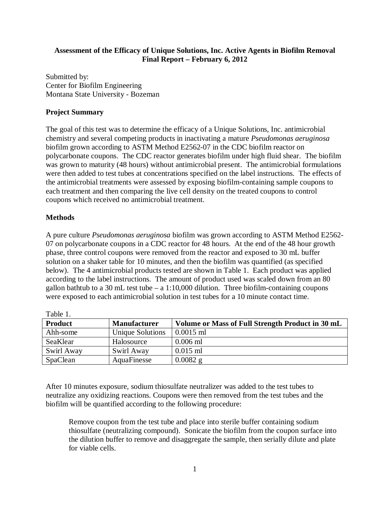## **Assessment of the Efficacy of Unique Solutions, Inc. Active Agents in Biofilm Removal Final Report – February 6, 2012**

Submitted by: Center for Biofilm Engineering Montana State University - Bozeman

## **Project Summary**

The goal of this test was to determine the efficacy of a Unique Solutions, Inc. antimicrobial chemistry and several competing products in inactivating a mature *Pseudomonas aeruginosa* biofilm grown according to ASTM Method E2562-07 in the CDC biofilm reactor on polycarbonate coupons. The CDC reactor generates biofilm under high fluid shear. The biofilm was grown to maturity (48 hours) without antimicrobial present. The antimicrobial formulations were then added to test tubes at concentrations specified on the label instructions. The effects of the antimicrobial treatments were assessed by exposing biofilm-containing sample coupons to each treatment and then comparing the live cell density on the treated coupons to control coupons which received no antimicrobial treatment.

## **Methods**

A pure culture *Pseudomonas aeruginosa* biofilm was grown according to ASTM Method E2562- 07 on polycarbonate coupons in a CDC reactor for 48 hours. At the end of the 48 hour growth phase, three control coupons were removed from the reactor and exposed to 30 mL buffer solution on a shaker table for 10 minutes, and then the biofilm was quantified (as specified below). The 4 antimicrobial products tested are shown in Table 1. Each product was applied according to the label instructions. The amount of product used was scaled down from an 80 gallon bathtub to a 30 mL test tube  $- a 1:10,000$  dilution. Three biofilm-containing coupons were exposed to each antimicrobial solution in test tubes for a 10 minute contact time.

| Taviv <sub>I</sub> . |                         |                                                  |  |  |
|----------------------|-------------------------|--------------------------------------------------|--|--|
| <b>Product</b>       | <b>Manufacturer</b>     | Volume or Mass of Full Strength Product in 30 mL |  |  |
| Ahh-some             | <b>Unique Solutions</b> | $0.0015$ ml                                      |  |  |
| SeaKlear             | Halosource              | $0.006$ ml                                       |  |  |
| Swirl Away           | Swirl Away              | $0.015$ ml                                       |  |  |
| SpaClean             | AquaFinesse             | $0.0082$ g                                       |  |  |

Table 1.

After 10 minutes exposure, sodium thiosulfate neutralizer was added to the test tubes to neutralize any oxidizing reactions. Coupons were then removed from the test tubes and the biofilm will be quantified according to the following procedure:

Remove coupon from the test tube and place into sterile buffer containing sodium thiosulfate (neutralizing compound). Sonicate the biofilm from the coupon surface into the dilution buffer to remove and disaggregate the sample, then serially dilute and plate for viable cells.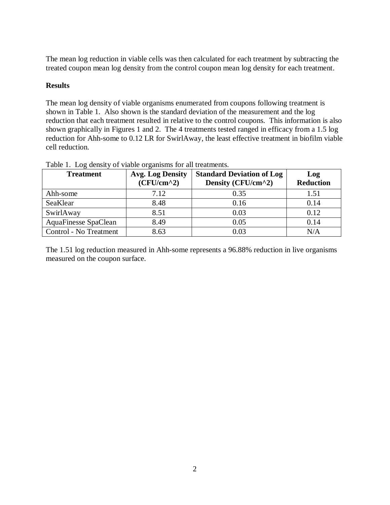The mean log reduction in viable cells was then calculated for each treatment by subtracting the treated coupon mean log density from the control coupon mean log density for each treatment.

## **Results**

The mean log density of viable organisms enumerated from coupons following treatment is shown in Table 1. Also shown is the standard deviation of the measurement and the log reduction that each treatment resulted in relative to the control coupons. This information is also shown graphically in Figures 1 and 2. The 4 treatments tested ranged in efficacy from a 1.5 log reduction for Ahh-some to 0.12 LR for SwirlAway, the least effective treatment in biofilm viable cell reduction.

| <b>Treatment</b>       | <b>Avg. Log Density</b><br>$(CFU/cm^2)$ | <b>Standard Deviation of Log</b><br>Density (CFU/cm^2) | Log<br><b>Reduction</b> |
|------------------------|-----------------------------------------|--------------------------------------------------------|-------------------------|
| Ahh-some               | 7.12                                    | 0.35                                                   | 1.51                    |
| SeaKlear               | 8.48                                    | 0.16                                                   | 0.14                    |
| SwirlAway              | 8.51                                    | 0.03                                                   | 0.12                    |
| AquaFinesse SpaClean   | 8.49                                    | 0.05                                                   | 0.14                    |
| Control - No Treatment | 8.63                                    | 0.03                                                   | N/A                     |

Table 1. Log density of viable organisms for all treatments.

The 1.51 log reduction measured in Ahh-some represents a 96.88% reduction in live organisms measured on the coupon surface.